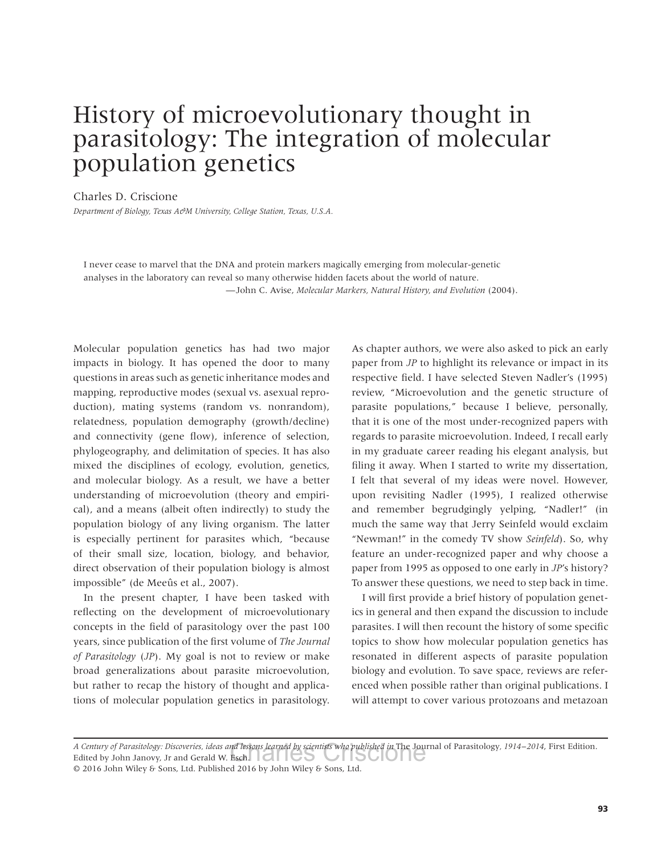# History of microevolutionary thought in parasitology: The integration of molecular population genetics

### Charles D. Criscione

*Department of Biology, Texas A&M University, College Station, Texas, U.S.A.*

I never cease to marvel that the DNA and protein markers magically emerging from molecular-genetic analyses in the laboratory can reveal so many otherwise hidden facets about the world of nature. —John C. Avise, *Molecular Markers, Natural History, and Evolution* (2004).

Molecular population genetics has had two major impacts in biology. It has opened the door to many questions in areas such as genetic inheritance modes and mapping, reproductive modes (sexual vs. asexual reproduction), mating systems (random vs. nonrandom), relatedness, population demography (growth/decline) and connectivity (gene flow), inference of selection, phylogeography, and delimitation of species. It has also mixed the disciplines of ecology, evolution, genetics, and molecular biology. As a result, we have a better understanding of microevolution (theory and empirical), and a means (albeit often indirectly) to study the population biology of any living organism. The latter is especially pertinent for parasites which, "because of their small size, location, biology, and behavior, direct observation of their population biology is almost impossible" (de Meeûs et al., 2007).

In the present chapter, I have been tasked with reflecting on the development of microevolutionary concepts in the field of parasitology over the past 100 years, since publication of the first volume of *The Journal of Parasitology* (*JP*). My goal is not to review or make broad generalizations about parasite microevolution, but rather to recap the history of thought and applications of molecular population genetics in parasitology.

As chapter authors, we were also asked to pick an early paper from *JP* to highlight its relevance or impact in its respective field. I have selected Steven Nadler's (1995) review, "Microevolution and the genetic structure of parasite populations," because I believe, personally, that it is one of the most under-recognized papers with regards to parasite microevolution. Indeed, I recall early in my graduate career reading his elegant analysis, but filing it away. When I started to write my dissertation, I felt that several of my ideas were novel. However, upon revisiting Nadler (1995), I realized otherwise and remember begrudgingly yelping, "Nadler!" (in much the same way that Jerry Seinfeld would exclaim "Newman!" in the comedy TV show *Seinfeld*). So, why feature an under-recognized paper and why choose a paper from 1995 as opposed to one early in *JP*'s history? To answer these questions, we need to step back in time.

I will first provide a brief history of population genetics in general and then expand the discussion to include parasites. I will then recount the history of some specific topics to show how molecular population genetics has resonated in different aspects of parasite population biology and evolution. To save space, reviews are referenced when possible rather than original publications. I will attempt to cover various protozoans and metazoan

*A Century of Parasitology: Discoveries, ideas and lessons learned by scientists who published in* The Journal of Parasitology*, 1914–2014*, First Edition. A Century of Parasitology: Discoveries, ideas and lessons learned by scientists who published in The Journal Gerald W. Esch.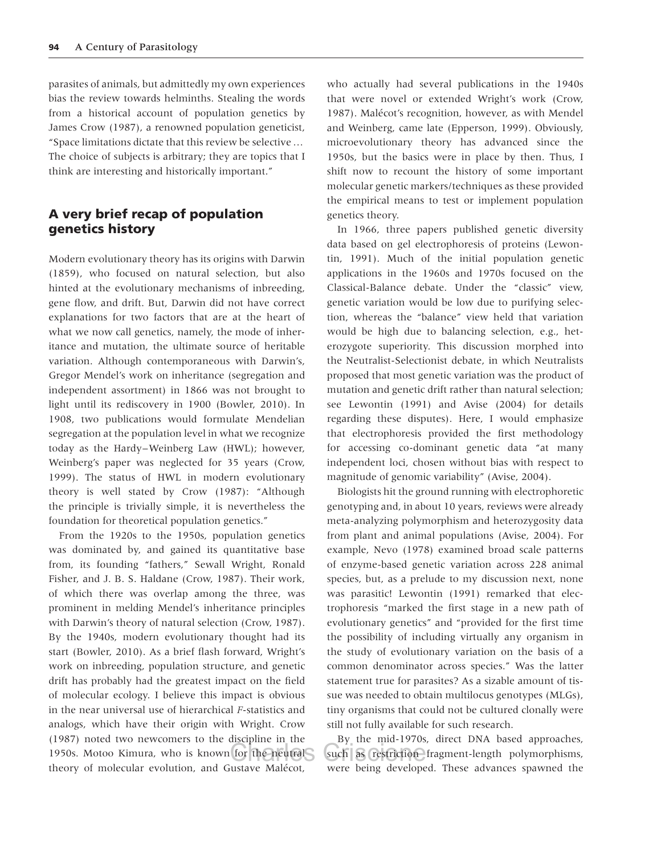parasites of animals, but admittedly my own experiences bias the review towards helminths. Stealing the words from a historical account of population genetics by James Crow (1987), a renowned population geneticist, "Space limitations dictate that this review be selective… The choice of subjects is arbitrary; they are topics that I think are interesting and historically important."

# **A very brief recap of population genetics history**

Modern evolutionary theory has its origins with Darwin (1859), who focused on natural selection, but also hinted at the evolutionary mechanisms of inbreeding, gene flow, and drift. But, Darwin did not have correct explanations for two factors that are at the heart of what we now call genetics, namely, the mode of inheritance and mutation, the ultimate source of heritable variation. Although contemporaneous with Darwin's, Gregor Mendel's work on inheritance (segregation and independent assortment) in 1866 was not brought to light until its rediscovery in 1900 (Bowler, 2010). In 1908, two publications would formulate Mendelian segregation at the population level in what we recognize today as the Hardy–Weinberg Law (HWL); however, Weinberg's paper was neglected for 35 years (Crow, 1999). The status of HWL in modern evolutionary theory is well stated by Crow (1987): "Although the principle is trivially simple, it is nevertheless the foundation for theoretical population genetics."

From the 1920s to the 1950s, population genetics was dominated by, and gained its quantitative base from, its founding "fathers," Sewall Wright, Ronald Fisher, and J. B. S. Haldane (Crow, 1987). Their work, of which there was overlap among the three, was prominent in melding Mendel's inheritance principles with Darwin's theory of natural selection (Crow, 1987). By the 1940s, modern evolutionary thought had its start (Bowler, 2010). As a brief flash forward, Wright's work on inbreeding, population structure, and genetic drift has probably had the greatest impact on the field of molecular ecology. I believe this impact is obvious in the near universal use of hierarchical *F*-statistics and analogs, which have their origin with Wright. Crow (1987) noted two newcomers to the discipline in the 1950s. Motoo Kimura, who is known for the neutral theory of molecular evolution, and Gustave Malécot,

who actually had several publications in the 1940s that were novel or extended Wright's work (Crow, 1987). Malécot's recognition, however, as with Mendel and Weinberg, came late (Epperson, 1999). Obviously, microevolutionary theory has advanced since the 1950s, but the basics were in place by then. Thus, I shift now to recount the history of some important molecular genetic markers/techniques as these provided the empirical means to test or implement population genetics theory.

In 1966, three papers published genetic diversity data based on gel electrophoresis of proteins (Lewontin, 1991). Much of the initial population genetic applications in the 1960s and 1970s focused on the Classical-Balance debate. Under the "classic" view, genetic variation would be low due to purifying selection, whereas the "balance" view held that variation would be high due to balancing selection, e.g., heterozygote superiority. This discussion morphed into the Neutralist-Selectionist debate, in which Neutralists proposed that most genetic variation was the product of mutation and genetic drift rather than natural selection; see Lewontin (1991) and Avise (2004) for details regarding these disputes). Here, I would emphasize that electrophoresis provided the first methodology for accessing co-dominant genetic data "at many independent loci, chosen without bias with respect to magnitude of genomic variability" (Avise, 2004).

Biologists hit the ground running with electrophoretic genotyping and, in about 10 years, reviews were already meta-analyzing polymorphism and heterozygosity data from plant and animal populations (Avise, 2004). For example, Nevo (1978) examined broad scale patterns of enzyme-based genetic variation across 228 animal species, but, as a prelude to my discussion next, none was parasitic! Lewontin (1991) remarked that electrophoresis "marked the first stage in a new path of evolutionary genetics" and "provided for the first time the possibility of including virtually any organism in the study of evolutionary variation on the basis of a common denominator across species." Was the latter statement true for parasites? As a sizable amount of tissue was needed to obtain multilocus genotypes (MLGs), tiny organisms that could not be cultured clonally were still not fully available for such research.

By the mid-1970s, direct DNA based approaches, for the neutral such as restriction fragment-length polymorphisms, were being developed. These advances spawned the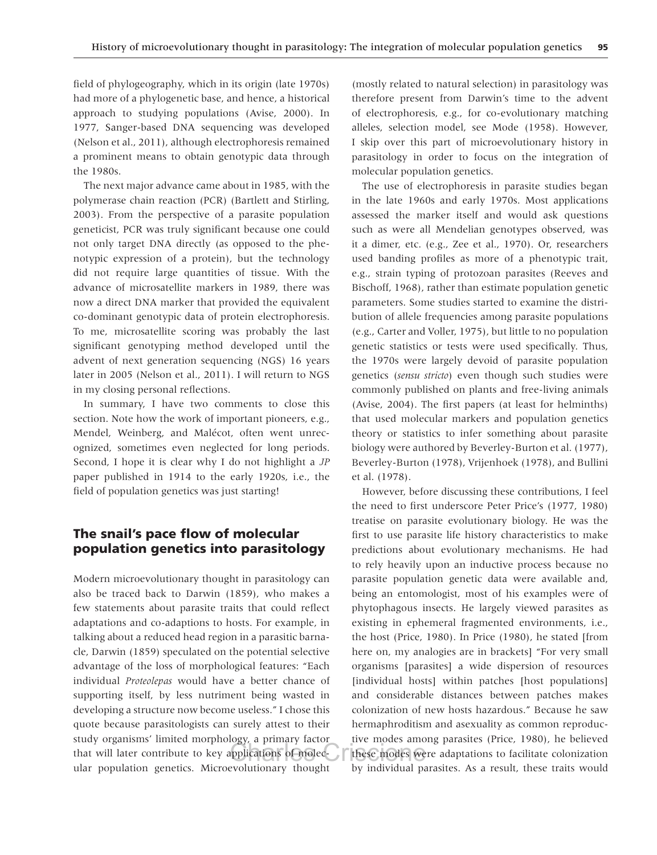field of phylogeography, which in its origin (late 1970s) had more of a phylogenetic base, and hence, a historical approach to studying populations (Avise, 2000). In 1977, Sanger-based DNA sequencing was developed (Nelson et al., 2011), although electrophoresis remained a prominent means to obtain genotypic data through the 1980s.

The next major advance came about in 1985, with the polymerase chain reaction (PCR) (Bartlett and Stirling, 2003). From the perspective of a parasite population geneticist, PCR was truly significant because one could not only target DNA directly (as opposed to the phenotypic expression of a protein), but the technology did not require large quantities of tissue. With the advance of microsatellite markers in 1989, there was now a direct DNA marker that provided the equivalent co-dominant genotypic data of protein electrophoresis. To me, microsatellite scoring was probably the last significant genotyping method developed until the advent of next generation sequencing (NGS) 16 years later in 2005 (Nelson et al., 2011). I will return to NGS in my closing personal reflections.

In summary, I have two comments to close this section. Note how the work of important pioneers, e.g., Mendel, Weinberg, and Malécot, often went unrecognized, sometimes even neglected for long periods. Second, I hope it is clear why I do not highlight a *JP* paper published in 1914 to the early 1920s, i.e., the field of population genetics was just starting!

# **The snail's pace flow of molecular population genetics into parasitology**

Modern microevolutionary thought in parasitology can also be traced back to Darwin (1859), who makes a few statements about parasite traits that could reflect adaptations and co-adaptions to hosts. For example, in talking about a reduced head region in a parasitic barnacle, Darwin (1859) speculated on the potential selective advantage of the loss of morphological features: "Each individual *Proteolepas* would have a better chance of supporting itself, by less nutriment being wasted in developing a structure now become useless." I chose this quote because parasitologists can surely attest to their study organisms' limited morphology, a primary factor that will later contribute to key applications of moleced reflexe modes we ular population genetics. Microevolutionary thought

(mostly related to natural selection) in parasitology was therefore present from Darwin's time to the advent of electrophoresis, e.g., for co-evolutionary matching alleles, selection model, see Mode (1958). However, I skip over this part of microevolutionary history in parasitology in order to focus on the integration of molecular population genetics.

The use of electrophoresis in parasite studies began in the late 1960s and early 1970s. Most applications assessed the marker itself and would ask questions such as were all Mendelian genotypes observed, was it a dimer, etc. (e.g., Zee et al., 1970). Or, researchers used banding profiles as more of a phenotypic trait, e.g., strain typing of protozoan parasites (Reeves and Bischoff, 1968), rather than estimate population genetic parameters. Some studies started to examine the distribution of allele frequencies among parasite populations (e.g., Carter and Voller, 1975), but little to no population genetic statistics or tests were used specifically. Thus, the 1970s were largely devoid of parasite population genetics (*sensu stricto*) even though such studies were commonly published on plants and free-living animals (Avise, 2004). The first papers (at least for helminths) that used molecular markers and population genetics theory or statistics to infer something about parasite biology were authored by Beverley-Burton et al. (1977), Beverley-Burton (1978), Vrijenhoek (1978), and Bullini et al. (1978).

However, before discussing these contributions, I feel the need to first underscore Peter Price's (1977, 1980) treatise on parasite evolutionary biology. He was the first to use parasite life history characteristics to make predictions about evolutionary mechanisms. He had to rely heavily upon an inductive process because no parasite population genetic data were available and, being an entomologist, most of his examples were of phytophagous insects. He largely viewed parasites as existing in ephemeral fragmented environments, i.e., the host (Price, 1980). In Price (1980), he stated [from here on, my analogies are in brackets] "For very small organisms [parasites] a wide dispersion of resources [individual hosts] within patches [host populations] and considerable distances between patches makes colonization of new hosts hazardous." Because he saw hermaphroditism and asexuality as common reproductive modes among parasites (Price, 1980), he believed these modes were adaptations to facilitate colonization by individual parasites. As a result, these traits would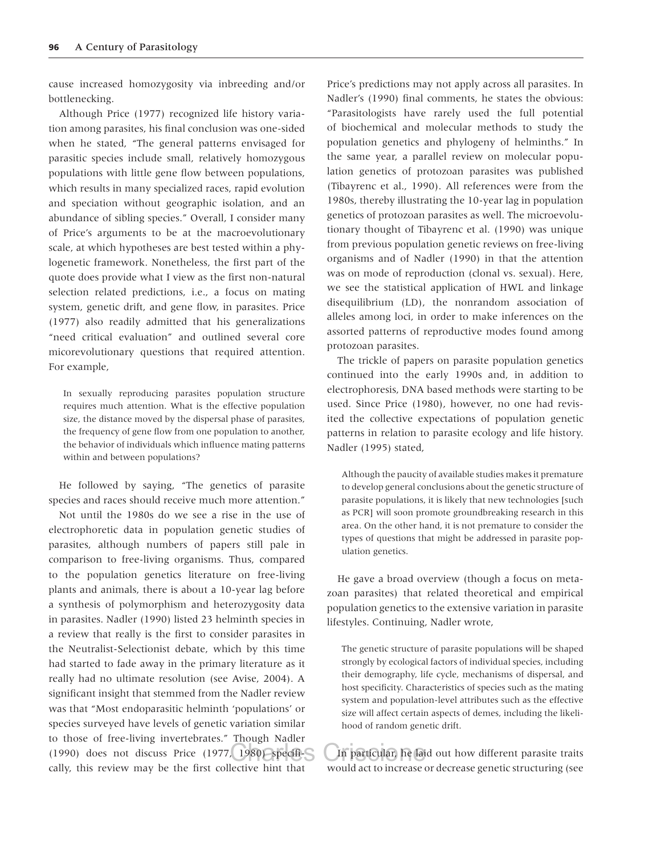cause increased homozygosity via inbreeding and/or bottlenecking.

Although Price (1977) recognized life history variation among parasites, his final conclusion was one-sided when he stated, "The general patterns envisaged for parasitic species include small, relatively homozygous populations with little gene flow between populations, which results in many specialized races, rapid evolution and speciation without geographic isolation, and an abundance of sibling species." Overall, I consider many of Price's arguments to be at the macroevolutionary scale, at which hypotheses are best tested within a phylogenetic framework. Nonetheless, the first part of the quote does provide what I view as the first non-natural selection related predictions, i.e., a focus on mating system, genetic drift, and gene flow, in parasites. Price (1977) also readily admitted that his generalizations "need critical evaluation" and outlined several core micorevolutionary questions that required attention. For example,

In sexually reproducing parasites population structure requires much attention. What is the effective population size, the distance moved by the dispersal phase of parasites, the frequency of gene flow from one population to another, the behavior of individuals which influence mating patterns within and between populations?

He followed by saying, "The genetics of parasite species and races should receive much more attention."

Not until the 1980s do we see a rise in the use of electrophoretic data in population genetic studies of parasites, although numbers of papers still pale in comparison to free-living organisms. Thus, compared to the population genetics literature on free-living plants and animals, there is about a 10-year lag before a synthesis of polymorphism and heterozygosity data in parasites. Nadler (1990) listed 23 helminth species in a review that really is the first to consider parasites in the Neutralist-Selectionist debate, which by this time had started to fade away in the primary literature as it really had no ultimate resolution (see Avise, 2004). A significant insight that stemmed from the Nadler review was that "Most endoparasitic helminth 'populations' or species surveyed have levels of genetic variation similar to those of free-living invertebrates." Though Nadler (1990) does not discuss Price  $(1977, 1980)$  specific  $\bigcirc$  On particular he laid cally, this review may be the first collective hint that

Price's predictions may not apply across all parasites. In Nadler's (1990) final comments, he states the obvious: "Parasitologists have rarely used the full potential of biochemical and molecular methods to study the population genetics and phylogeny of helminths." In the same year, a parallel review on molecular population genetics of protozoan parasites was published (Tibayrenc et al., 1990). All references were from the 1980s, thereby illustrating the 10-year lag in population genetics of protozoan parasites as well. The microevolutionary thought of Tibayrenc et al. (1990) was unique from previous population genetic reviews on free-living organisms and of Nadler (1990) in that the attention was on mode of reproduction (clonal vs. sexual). Here, we see the statistical application of HWL and linkage disequilibrium (LD), the nonrandom association of alleles among loci, in order to make inferences on the assorted patterns of reproductive modes found among protozoan parasites.

The trickle of papers on parasite population genetics continued into the early 1990s and, in addition to electrophoresis, DNA based methods were starting to be used. Since Price (1980), however, no one had revisited the collective expectations of population genetic patterns in relation to parasite ecology and life history. Nadler (1995) stated,

Although the paucity of available studies makes it premature to develop general conclusions about the genetic structure of parasite populations, it is likely that new technologies [such as PCR] will soon promote groundbreaking research in this area. On the other hand, it is not premature to consider the types of questions that might be addressed in parasite population genetics.

He gave a broad overview (though a focus on metazoan parasites) that related theoretical and empirical population genetics to the extensive variation in parasite lifestyles. Continuing, Nadler wrote,

The genetic structure of parasite populations will be shaped strongly by ecological factors of individual species, including their demography, life cycle, mechanisms of dispersal, and host specificity. Characteristics of species such as the mating system and population-level attributes such as the effective size will affect certain aspects of demes, including the likelihood of random genetic drift.

In particular, he laid out how different parasite traits would act to increase or decrease genetic structuring (see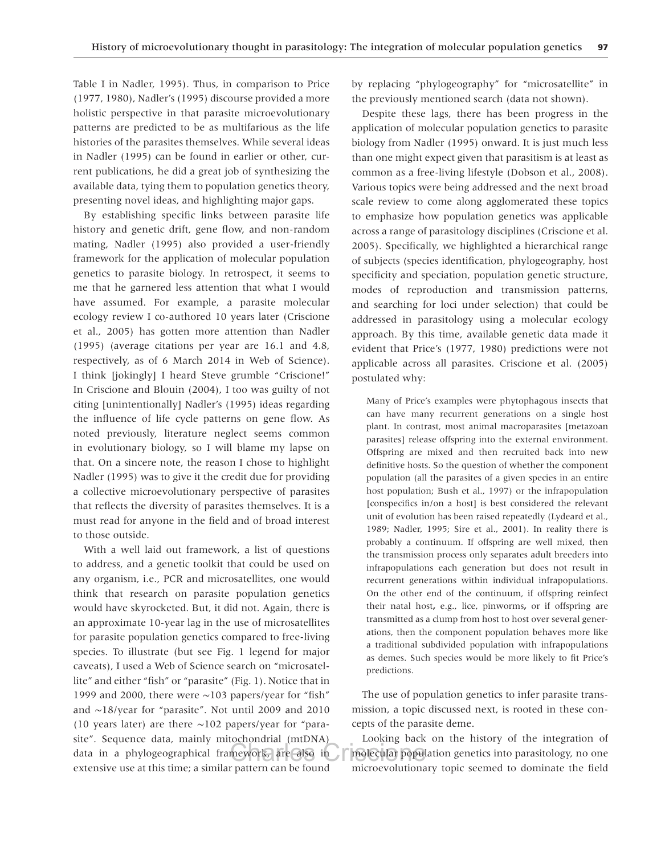Table I in Nadler, 1995). Thus, in comparison to Price (1977, 1980), Nadler's (1995) discourse provided a more holistic perspective in that parasite microevolutionary patterns are predicted to be as multifarious as the life histories of the parasites themselves. While several ideas in Nadler (1995) can be found in earlier or other, current publications, he did a great job of synthesizing the available data, tying them to population genetics theory, presenting novel ideas, and highlighting major gaps.

By establishing specific links between parasite life history and genetic drift, gene flow, and non-random mating, Nadler (1995) also provided a user-friendly framework for the application of molecular population genetics to parasite biology. In retrospect, it seems to me that he garnered less attention that what I would have assumed. For example, a parasite molecular ecology review I co-authored 10 years later (Criscione et al., 2005) has gotten more attention than Nadler (1995) (average citations per year are 16.1 and 4.8, respectively, as of 6 March 2014 in Web of Science). I think [jokingly] I heard Steve grumble "Criscione!" In Criscione and Blouin (2004), I too was guilty of not citing [unintentionally] Nadler's (1995) ideas regarding the influence of life cycle patterns on gene flow. As noted previously, literature neglect seems common in evolutionary biology, so I will blame my lapse on that. On a sincere note, the reason I chose to highlight Nadler (1995) was to give it the credit due for providing a collective microevolutionary perspective of parasites that reflects the diversity of parasites themselves. It is a must read for anyone in the field and of broad interest to those outside.

With a well laid out framework, a list of questions to address, and a genetic toolkit that could be used on any organism, i.e., PCR and microsatellites, one would think that research on parasite population genetics would have skyrocketed. But, it did not. Again, there is an approximate 10-year lag in the use of microsatellites for parasite population genetics compared to free-living species. To illustrate (but see Fig. 1 legend for major caveats), I used a Web of Science search on "microsatellite" and either "fish" or "parasite" (Fig. 1). Notice that in 1999 and 2000, there were ∼103 papers/year for "fish" and ∼18/year for "parasite". Not until 2009 and 2010 (10 years later) are there ∼102 papers/year for "parasite". Sequence data, mainly mitochondrial (mtDNA) data in a phylogeographical framework, are also in molecular popularities extensive use at this time; a similar pattern can be found

by replacing "phylogeography" for "microsatellite" in the previously mentioned search (data not shown).

Despite these lags, there has been progress in the application of molecular population genetics to parasite biology from Nadler (1995) onward. It is just much less than one might expect given that parasitism is at least as common as a free-living lifestyle (Dobson et al., 2008). Various topics were being addressed and the next broad scale review to come along agglomerated these topics to emphasize how population genetics was applicable across a range of parasitology disciplines (Criscione et al. 2005). Specifically, we highlighted a hierarchical range of subjects (species identification, phylogeography, host specificity and speciation, population genetic structure, modes of reproduction and transmission patterns, and searching for loci under selection) that could be addressed in parasitology using a molecular ecology approach. By this time, available genetic data made it evident that Price's (1977, 1980) predictions were not applicable across all parasites. Criscione et al. (2005) postulated why:

Many of Price's examples were phytophagous insects that can have many recurrent generations on a single host plant. In contrast, most animal macroparasites [metazoan parasites] release offspring into the external environment. Offspring are mixed and then recruited back into new definitive hosts. So the question of whether the component population (all the parasites of a given species in an entire host population; Bush et al., 1997) or the infrapopulation [conspecifics in/on a host] is best considered the relevant unit of evolution has been raised repeatedly (Lydeard et al., 1989; Nadler, 1995; Sire et al., 2001). In reality there is probably a continuum. If offspring are well mixed, then the transmission process only separates adult breeders into infrapopulations each generation but does not result in recurrent generations within individual infrapopulations. On the other end of the continuum, if offspring reinfect their natal host**,** e.g., lice, pinworms**,** or if offspring are transmitted as a clump from host to host over several generations, then the component population behaves more like a traditional subdivided population with infrapopulations as demes. Such species would be more likely to fit Price's predictions.

The use of population genetics to infer parasite transmission, a topic discussed next, is rooted in these concepts of the parasite deme.

Looking back on the history of the integration of molecular population genetics into parasitology, no one microevolutionary topic seemed to dominate the field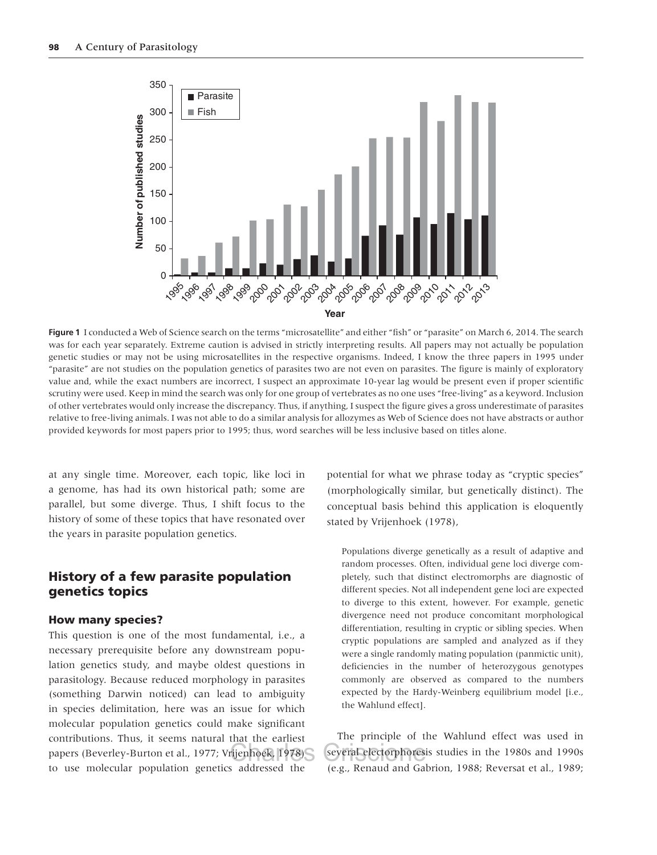

**Figure 1** I conducted a Web of Science search on the terms "microsatellite" and either "fish" or "parasite" on March 6, 2014. The search was for each year separately. Extreme caution is advised in strictly interpreting results. All papers may not actually be population genetic studies or may not be using microsatellites in the respective organisms. Indeed, I know the three papers in 1995 under "parasite" are not studies on the population genetics of parasites two are not even on parasites. The figure is mainly of exploratory value and, while the exact numbers are incorrect, I suspect an approximate 10-year lag would be present even if proper scientific scrutiny were used. Keep in mind the search was only for one group of vertebrates as no one uses "free-living" as a keyword. Inclusion of other vertebrates would only increase the discrepancy. Thus, if anything, I suspect the figure gives a gross underestimate of parasites relative to free-living animals. I was not able to do a similar analysis for allozymes as Web of Science does not have abstracts or author provided keywords for most papers prior to 1995; thus, word searches will be less inclusive based on titles alone.

at any single time. Moreover, each topic, like loci in a genome, has had its own historical path; some are parallel, but some diverge. Thus, I shift focus to the history of some of these topics that have resonated over the years in parasite population genetics.

# **History of a few parasite population genetics topics**

#### **How many species?**

This question is one of the most fundamental, i.e., a necessary prerequisite before any downstream population genetics study, and maybe oldest questions in parasitology. Because reduced morphology in parasites (something Darwin noticed) can lead to ambiguity in species delimitation, here was an issue for which molecular population genetics could make significant contributions. Thus, it seems natural that the earliest papers (Beverley-Burton et al., 1977; Vrijenhoek, 1978) to use molecular population genetics addressed the

potential for what we phrase today as "cryptic species" (morphologically similar, but genetically distinct). The conceptual basis behind this application is eloquently stated by Vrijenhoek (1978),

Populations diverge genetically as a result of adaptive and random processes. Often, individual gene loci diverge completely, such that distinct electromorphs are diagnostic of different species. Not all independent gene loci are expected to diverge to this extent, however. For example, genetic divergence need not produce concomitant morphological differentiation, resulting in cryptic or sibling species. When cryptic populations are sampled and analyzed as if they were a single randomly mating population (panmictic unit), deficiencies in the number of heterozygous genotypes commonly are observed as compared to the numbers expected by the Hardy-Weinberg equilibrium model [i.e., the Wahlund effect].

The principle of the Wahlund effect was used in sexeral electorphoresis studies in the 1980s and 1990s (e.g., Renaud and Gabrion, 1988; Reversat et al., 1989;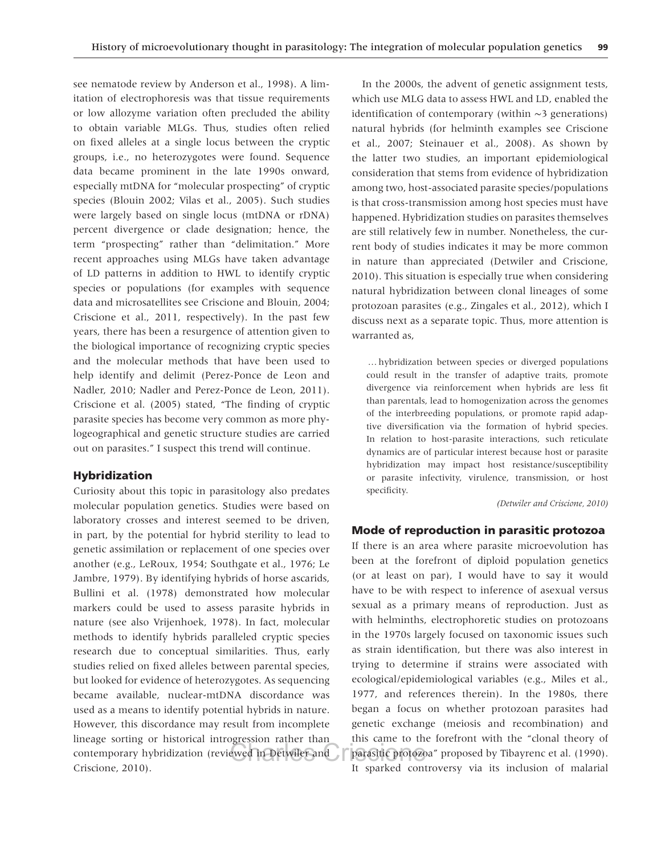see nematode review by Anderson et al., 1998). A limitation of electrophoresis was that tissue requirements or low allozyme variation often precluded the ability to obtain variable MLGs. Thus, studies often relied on fixed alleles at a single locus between the cryptic groups, i.e., no heterozygotes were found. Sequence data became prominent in the late 1990s onward, especially mtDNA for "molecular prospecting" of cryptic species (Blouin 2002; Vilas et al., 2005). Such studies were largely based on single locus (mtDNA or rDNA) percent divergence or clade designation; hence, the term "prospecting" rather than "delimitation." More recent approaches using MLGs have taken advantage of LD patterns in addition to HWL to identify cryptic species or populations (for examples with sequence data and microsatellites see Criscione and Blouin, 2004; Criscione et al., 2011, respectively). In the past few years, there has been a resurgence of attention given to the biological importance of recognizing cryptic species and the molecular methods that have been used to help identify and delimit (Perez-Ponce de Leon and Nadler, 2010; Nadler and Perez-Ponce de Leon, 2011). Criscione et al. (2005) stated, "The finding of cryptic parasite species has become very common as more phylogeographical and genetic structure studies are carried out on parasites." I suspect this trend will continue.

#### **Hybridization**

Curiosity about this topic in parasitology also predates molecular population genetics. Studies were based on laboratory crosses and interest seemed to be driven, in part, by the potential for hybrid sterility to lead to genetic assimilation or replacement of one species over another (e.g., LeRoux, 1954; Southgate et al., 1976; Le Jambre, 1979). By identifying hybrids of horse ascarids, Bullini et al. (1978) demonstrated how molecular markers could be used to assess parasite hybrids in nature (see also Vrijenhoek, 1978). In fact, molecular methods to identify hybrids paralleled cryptic species research due to conceptual similarities. Thus, early studies relied on fixed alleles between parental species, but looked for evidence of heterozygotes. As sequencing became available, nuclear-mtDNA discordance was used as a means to identify potential hybrids in nature. However, this discordance may result from incomplete lineage sorting or historical introgression rather than contemporary hybridization (reviewed in Detwiler and [ parasitic protoze Criscione, 2010).

In the 2000s, the advent of genetic assignment tests, which use MLG data to assess HWL and LD, enabled the identification of contemporary (within ∼3 generations) natural hybrids (for helminth examples see Criscione et al., 2007; Steinauer et al., 2008). As shown by the latter two studies, an important epidemiological consideration that stems from evidence of hybridization among two, host-associated parasite species/populations is that cross-transmission among host species must have happened. Hybridization studies on parasites themselves are still relatively few in number. Nonetheless, the current body of studies indicates it may be more common in nature than appreciated (Detwiler and Criscione, 2010). This situation is especially true when considering natural hybridization between clonal lineages of some protozoan parasites (e.g., Zingales et al., 2012), which I discuss next as a separate topic. Thus, more attention is warranted as,

…hybridization between species or diverged populations could result in the transfer of adaptive traits, promote divergence via reinforcement when hybrids are less fit than parentals, lead to homogenization across the genomes of the interbreeding populations, or promote rapid adaptive diversification via the formation of hybrid species. In relation to host-parasite interactions, such reticulate dynamics are of particular interest because host or parasite hybridization may impact host resistance/susceptibility or parasite infectivity, virulence, transmission, or host specificity.

*(Detwiler and Criscione, 2010)*

## **Mode of reproduction in parasitic protozoa**

If there is an area where parasite microevolution has been at the forefront of diploid population genetics (or at least on par), I would have to say it would have to be with respect to inference of asexual versus sexual as a primary means of reproduction. Just as with helminths, electrophoretic studies on protozoans in the 1970s largely focused on taxonomic issues such as strain identification, but there was also interest in trying to determine if strains were associated with ecological/epidemiological variables (e.g., Miles et al., 1977, and references therein). In the 1980s, there began a focus on whether protozoan parasites had genetic exchange (meiosis and recombination) and this came to the forefront with the "clonal theory of parasitic protozoa" proposed by Tibayrenc et al. (1990). It sparked controversy via its inclusion of malarial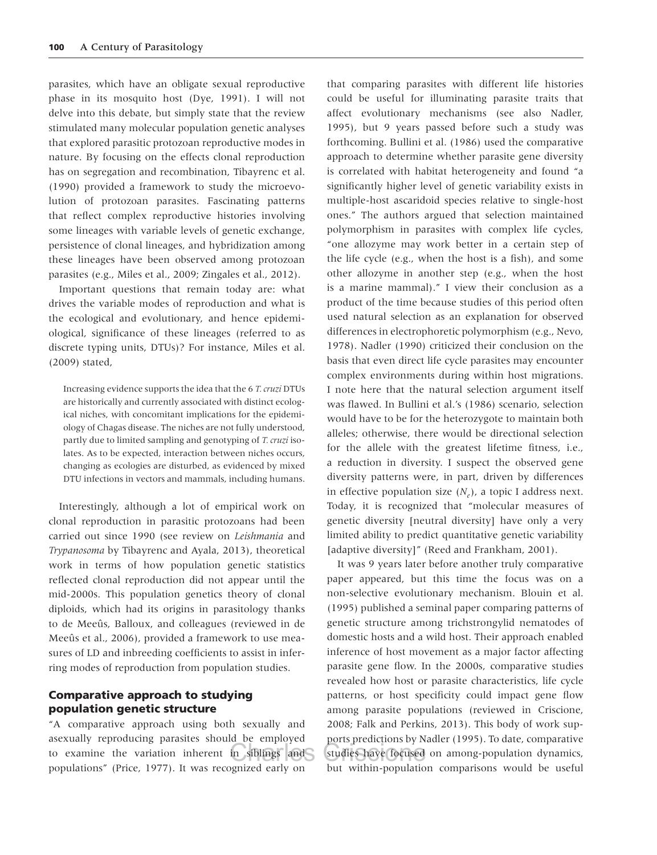parasites, which have an obligate sexual reproductive phase in its mosquito host (Dye, 1991). I will not delve into this debate, but simply state that the review stimulated many molecular population genetic analyses that explored parasitic protozoan reproductive modes in nature. By focusing on the effects clonal reproduction has on segregation and recombination, Tibayrenc et al. (1990) provided a framework to study the microevolution of protozoan parasites. Fascinating patterns that reflect complex reproductive histories involving some lineages with variable levels of genetic exchange, persistence of clonal lineages, and hybridization among these lineages have been observed among protozoan parasites (e.g., Miles et al., 2009; Zingales et al., 2012).

Important questions that remain today are: what drives the variable modes of reproduction and what is the ecological and evolutionary, and hence epidemiological, significance of these lineages (referred to as discrete typing units, DTUs)? For instance, Miles et al. (2009) stated,

Increasing evidence supports the idea that the 6 *T. cruzi* DTUs are historically and currently associated with distinct ecological niches, with concomitant implications for the epidemiology of Chagas disease. The niches are not fully understood, partly due to limited sampling and genotyping of *T. cruzi* isolates. As to be expected, interaction between niches occurs, changing as ecologies are disturbed, as evidenced by mixed DTU infections in vectors and mammals, including humans.

Interestingly, although a lot of empirical work on clonal reproduction in parasitic protozoans had been carried out since 1990 (see review on *Leishmania* and *Trypanosoma* by Tibayrenc and Ayala, 2013), theoretical work in terms of how population genetic statistics reflected clonal reproduction did not appear until the mid-2000s. This population genetics theory of clonal diploids, which had its origins in parasitology thanks to de Meeûs, Balloux, and colleagues (reviewed in de Meeûs et al., 2006), provided a framework to use measures of LD and inbreeding coefficients to assist in inferring modes of reproduction from population studies.

## **Comparative approach to studying population genetic structure**

"A comparative approach using both sexually and asexually reproducing parasites should be employed to examine the variation inherent in siblings and populations" (Price, 1977). It was recognized early on

that comparing parasites with different life histories could be useful for illuminating parasite traits that affect evolutionary mechanisms (see also Nadler, 1995), but 9 years passed before such a study was forthcoming. Bullini et al. (1986) used the comparative approach to determine whether parasite gene diversity is correlated with habitat heterogeneity and found "a significantly higher level of genetic variability exists in multiple-host ascaridoid species relative to single-host ones." The authors argued that selection maintained polymorphism in parasites with complex life cycles, "one allozyme may work better in a certain step of the life cycle (e.g., when the host is a fish), and some other allozyme in another step (e.g., when the host is a marine mammal)." I view their conclusion as a product of the time because studies of this period often used natural selection as an explanation for observed differences in electrophoretic polymorphism (e.g., Nevo, 1978). Nadler (1990) criticized their conclusion on the basis that even direct life cycle parasites may encounter complex environments during within host migrations. I note here that the natural selection argument itself was flawed. In Bullini et al.'s (1986) scenario, selection would have to be for the heterozygote to maintain both alleles; otherwise, there would be directional selection for the allele with the greatest lifetime fitness, i.e., a reduction in diversity. I suspect the observed gene diversity patterns were, in part, driven by differences in effective population size  $(N_e)$ , a topic I address next. Today, it is recognized that "molecular measures of genetic diversity [neutral diversity] have only a very limited ability to predict quantitative genetic variability [adaptive diversity]" (Reed and Frankham, 2001).

It was 9 years later before another truly comparative paper appeared, but this time the focus was on a non-selective evolutionary mechanism. Blouin et al. (1995) published a seminal paper comparing patterns of genetic structure among trichstrongylid nematodes of domestic hosts and a wild host. Their approach enabled inference of host movement as a major factor affecting parasite gene flow. In the 2000s, comparative studies revealed how host or parasite characteristics, life cycle patterns, or host specificity could impact gene flow among parasite populations (reviewed in Criscione, 2008; Falk and Perkins, 2013). This body of work supports predictions by Nadler (1995). To date, comparative in studies and studies have focused on among-population dynamics, but within-population comparisons would be useful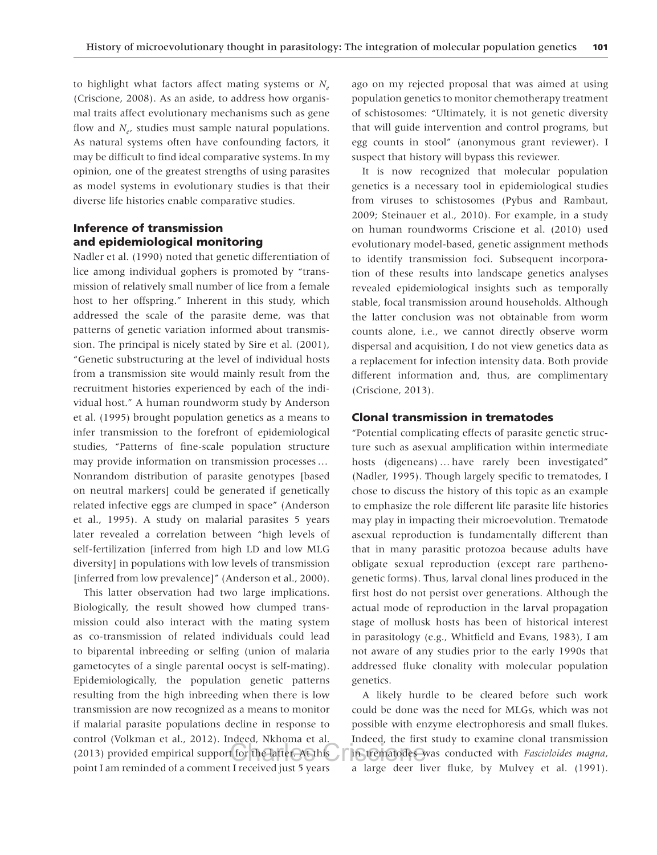to highlight what factors affect mating systems or *N<sub>c</sub>* (Criscione, 2008). As an aside, to address how organismal traits affect evolutionary mechanisms such as gene flow and *N<sub>a</sub>*, studies must sample natural populations. As natural systems often have confounding factors, it may be difficult to find ideal comparative systems. In my opinion, one of the greatest strengths of using parasites as model systems in evolutionary studies is that their diverse life histories enable comparative studies.

## **Inference of transmission and epidemiological monitoring**

Nadler et al. (1990) noted that genetic differentiation of lice among individual gophers is promoted by "transmission of relatively small number of lice from a female host to her offspring." Inherent in this study, which addressed the scale of the parasite deme, was that patterns of genetic variation informed about transmission. The principal is nicely stated by Sire et al. (2001), "Genetic substructuring at the level of individual hosts from a transmission site would mainly result from the recruitment histories experienced by each of the individual host." A human roundworm study by Anderson et al. (1995) brought population genetics as a means to infer transmission to the forefront of epidemiological studies, "Patterns of fine-scale population structure may provide information on transmission processes … Nonrandom distribution of parasite genotypes [based on neutral markers] could be generated if genetically related infective eggs are clumped in space" (Anderson et al., 1995). A study on malarial parasites 5 years later revealed a correlation between "high levels of self-fertilization [inferred from high LD and low MLG diversity] in populations with low levels of transmission [inferred from low prevalence]" (Anderson et al., 2000).

This latter observation had two large implications. Biologically, the result showed how clumped transmission could also interact with the mating system as co-transmission of related individuals could lead to biparental inbreeding or selfing (union of malaria gametocytes of a single parental oocyst is self-mating). Epidemiologically, the population genetic patterns resulting from the high inbreeding when there is low transmission are now recognized as a means to monitor if malarial parasite populations decline in response to control (Volkman et al., 2012). Indeed, Nkhoma et al. (2013) provided empirical support for the latter. At this returnation of the transition of the latter. point I am reminded of a comment I received just 5 years

ago on my rejected proposal that was aimed at using population genetics to monitor chemotherapy treatment of schistosomes: "Ultimately, it is not genetic diversity that will guide intervention and control programs, but egg counts in stool" (anonymous grant reviewer). I suspect that history will bypass this reviewer.

It is now recognized that molecular population genetics is a necessary tool in epidemiological studies from viruses to schistosomes (Pybus and Rambaut, 2009; Steinauer et al., 2010). For example, in a study on human roundworms Criscione et al. (2010) used evolutionary model-based, genetic assignment methods to identify transmission foci. Subsequent incorporation of these results into landscape genetics analyses revealed epidemiological insights such as temporally stable, focal transmission around households. Although the latter conclusion was not obtainable from worm counts alone, i.e., we cannot directly observe worm dispersal and acquisition, I do not view genetics data as a replacement for infection intensity data. Both provide different information and, thus, are complimentary (Criscione, 2013).

### **Clonal transmission in trematodes**

"Potential complicating effects of parasite genetic structure such as asexual amplification within intermediate hosts (digeneans) … have rarely been investigated" (Nadler, 1995). Though largely specific to trematodes, I chose to discuss the history of this topic as an example to emphasize the role different life parasite life histories may play in impacting their microevolution. Trematode asexual reproduction is fundamentally different than that in many parasitic protozoa because adults have obligate sexual reproduction (except rare parthenogenetic forms). Thus, larval clonal lines produced in the first host do not persist over generations. Although the actual mode of reproduction in the larval propagation stage of mollusk hosts has been of historical interest in parasitology (e.g., Whitfield and Evans, 1983), I am not aware of any studies prior to the early 1990s that addressed fluke clonality with molecular population genetics.

A likely hurdle to be cleared before such work could be done was the need for MLGs, which was not possible with enzyme electrophoresis and small flukes. Indeed, the first study to examine clonal transmission in trematodes was conducted with *Fascioloides magna*, a large deer liver fluke, by Mulvey et al. (1991).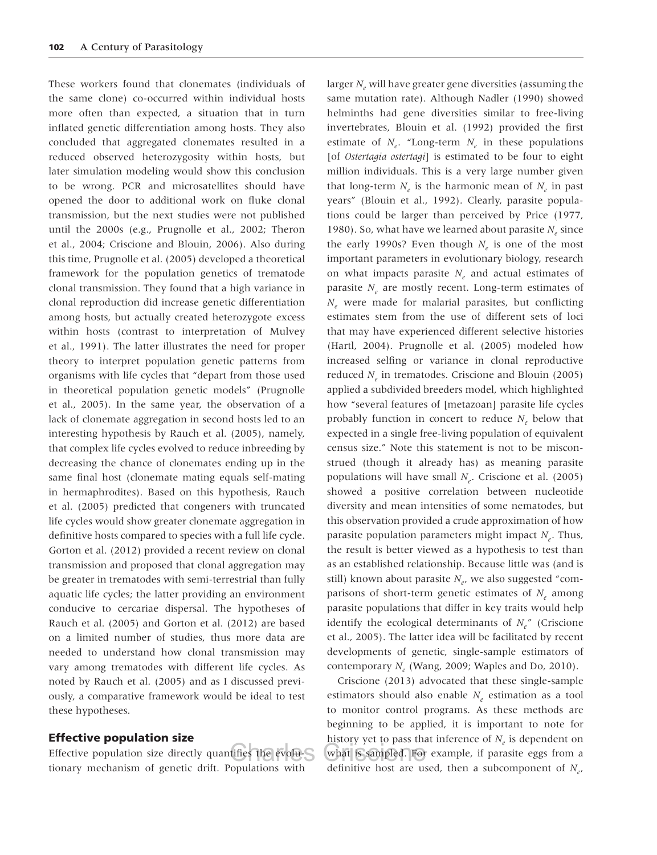These workers found that clonemates (individuals of the same clone) co-occurred within individual hosts more often than expected, a situation that in turn inflated genetic differentiation among hosts. They also concluded that aggregated clonemates resulted in a reduced observed heterozygosity within hosts, but later simulation modeling would show this conclusion to be wrong. PCR and microsatellites should have opened the door to additional work on fluke clonal transmission, but the next studies were not published until the 2000s (e.g., Prugnolle et al., 2002; Theron et al., 2004; Criscione and Blouin, 2006). Also during this time, Prugnolle et al. (2005) developed a theoretical framework for the population genetics of trematode clonal transmission. They found that a high variance in clonal reproduction did increase genetic differentiation among hosts, but actually created heterozygote excess within hosts (contrast to interpretation of Mulvey et al., 1991). The latter illustrates the need for proper theory to interpret population genetic patterns from organisms with life cycles that "depart from those used in theoretical population genetic models" (Prugnolle et al., 2005). In the same year, the observation of a lack of clonemate aggregation in second hosts led to an interesting hypothesis by Rauch et al. (2005), namely, that complex life cycles evolved to reduce inbreeding by decreasing the chance of clonemates ending up in the same final host (clonemate mating equals self-mating in hermaphrodites). Based on this hypothesis, Rauch et al. (2005) predicted that congeners with truncated life cycles would show greater clonemate aggregation in definitive hosts compared to species with a full life cycle. Gorton et al. (2012) provided a recent review on clonal transmission and proposed that clonal aggregation may be greater in trematodes with semi-terrestrial than fully aquatic life cycles; the latter providing an environment conducive to cercariae dispersal. The hypotheses of Rauch et al. (2005) and Gorton et al. (2012) are based on a limited number of studies, thus more data are needed to understand how clonal transmission may vary among trematodes with different life cycles. As noted by Rauch et al. (2005) and as I discussed previously, a comparative framework would be ideal to test these hypotheses.

#### **Effective population size**

Effective population size directly quantifies the evolutionary mechanism of genetic drift. Populations with

larger *N<sub>e</sub>* will have greater gene diversities (assuming the same mutation rate). Although Nadler (1990) showed helminths had gene diversities similar to free-living invertebrates, Blouin et al. (1992) provided the first estimate of  $N_e$ . "Long-term  $N_e$  in these populations [of *Ostertagia ostertagi*] is estimated to be four to eight million individuals. This is a very large number given that long-term  $N_e$  is the harmonic mean of  $N_e$  in past years" (Blouin et al., 1992). Clearly, parasite populations could be larger than perceived by Price (1977, 1980). So, what have we learned about parasite *N<sub>e</sub>* since the early 1990s? Even though  $N_e$  is one of the most important parameters in evolutionary biology, research on what impacts parasite  $N_e$  and actual estimates of parasite  $N_e$  are mostly recent. Long-term estimates of *N<sub>e</sub>* were made for malarial parasites, but conflicting estimates stem from the use of different sets of loci that may have experienced different selective histories (Hartl, 2004). Prugnolle et al. (2005) modeled how increased selfing or variance in clonal reproductive reduced *N<sub>c</sub>* in trematodes. Criscione and Blouin (2005) applied a subdivided breeders model, which highlighted how "several features of [metazoan] parasite life cycles probably function in concert to reduce  $N_e$  below that expected in a single free-living population of equivalent census size." Note this statement is not to be misconstrued (though it already has) as meaning parasite populations will have small *N<sub>e</sub>*. Criscione et al. (2005) showed a positive correlation between nucleotide diversity and mean intensities of some nematodes, but this observation provided a crude approximation of how parasite population parameters might impact *N<sub>e</sub>*. Thus, the result is better viewed as a hypothesis to test than as an established relationship. Because little was (and is still) known about parasite *N<sub>e</sub>*, we also suggested "comparisons of short-term genetic estimates of *N<sub>e</sub>* among parasite populations that differ in key traits would help identify the ecological determinants of  $N_{e}$ <sup>"</sup> (Criscione et al., 2005). The latter idea will be facilitated by recent developments of genetic, single-sample estimators of contemporary *N<sub>e</sub>* (Wang, 2009; Waples and Do, 2010).

Criscione (2013) advocated that these single-sample estimators should also enable *N<sub>e</sub>* estimation as a tool to monitor control programs. As these methods are beginning to be applied, it is important to note for history yet to pass that inference of  $N_e$  is dependent on tifies the evolu-S what is sampled. For example, if parasite eggs from a dopulations with definitive host are used, then a subcomponent of  $N_e$ ,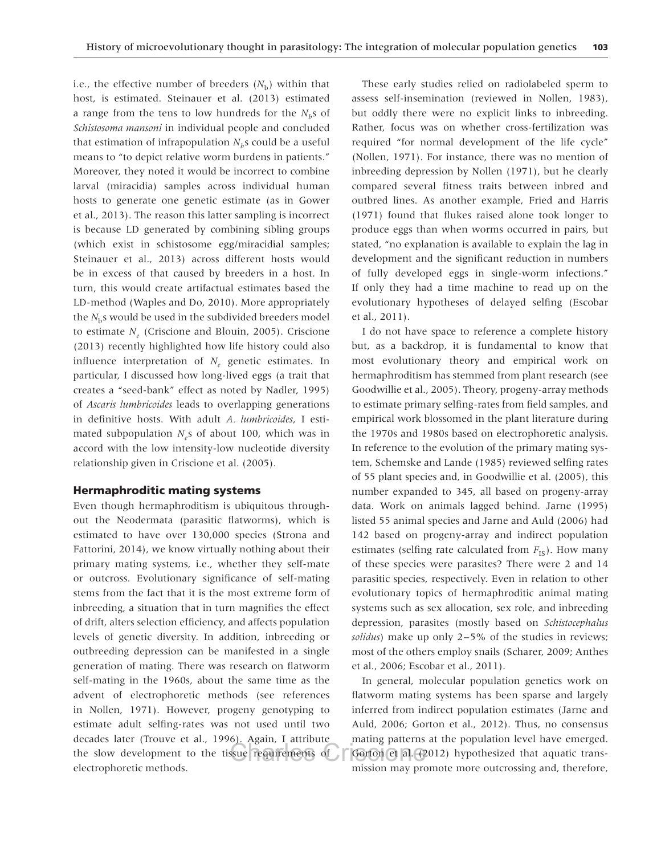i.e., the effective number of breeders  $(N<sub>b</sub>)$  within that host, is estimated. Steinauer et al. (2013) estimated a range from the tens to low hundreds for the  $N<sub>b</sub>$ s of *Schistosoma mansoni* in individual people and concluded that estimation of infrapopulation  $N<sub>b</sub>$ s could be a useful means to "to depict relative worm burdens in patients." Moreover, they noted it would be incorrect to combine larval (miracidia) samples across individual human hosts to generate one genetic estimate (as in Gower et al., 2013). The reason this latter sampling is incorrect is because LD generated by combining sibling groups (which exist in schistosome egg/miracidial samples; Steinauer et al., 2013) across different hosts would be in excess of that caused by breeders in a host. In turn, this would create artifactual estimates based the LD-method (Waples and Do, 2010). More appropriately the  $N<sub>b</sub>$ s would be used in the subdivided breeders model to estimate *N<sub>e</sub>* (Criscione and Blouin, 2005). Criscione (2013) recently highlighted how life history could also influence interpretation of  $N_e$  genetic estimates. In particular, I discussed how long-lived eggs (a trait that creates a "seed-bank" effect as noted by Nadler, 1995) of *Ascaris lumbricoides* leads to overlapping generations in definitive hosts. With adult *A. lumbricoides*, I estimated subpopulation  $N_e$ s of about 100, which was in accord with the low intensity-low nucleotide diversity relationship given in Criscione et al. (2005).

#### **Hermaphroditic mating systems**

Even though hermaphroditism is ubiquitous throughout the Neodermata (parasitic flatworms), which is estimated to have over 130,000 species (Strona and Fattorini, 2014), we know virtually nothing about their primary mating systems, i.e., whether they self-mate or outcross. Evolutionary significance of self-mating stems from the fact that it is the most extreme form of inbreeding, a situation that in turn magnifies the effect of drift, alters selection efficiency, and affects population levels of genetic diversity. In addition, inbreeding or outbreeding depression can be manifested in a single generation of mating. There was research on flatworm self-mating in the 1960s, about the same time as the advent of electrophoretic methods (see references in Nollen, 1971). However, progeny genotyping to estimate adult selfing-rates was not used until two decades later (Trouve et al., 1996). Again, I attribute the slow development to the tissue requirements of  $\Box$  Gorton et al. (2) electrophoretic methods.

These early studies relied on radiolabeled sperm to assess self-insemination (reviewed in Nollen, 1983), but oddly there were no explicit links to inbreeding. Rather, focus was on whether cross-fertilization was required "for normal development of the life cycle" (Nollen, 1971). For instance, there was no mention of inbreeding depression by Nollen (1971), but he clearly compared several fitness traits between inbred and outbred lines. As another example, Fried and Harris (1971) found that flukes raised alone took longer to produce eggs than when worms occurred in pairs, but stated, "no explanation is available to explain the lag in development and the significant reduction in numbers of fully developed eggs in single-worm infections." If only they had a time machine to read up on the evolutionary hypotheses of delayed selfing (Escobar et al., 2011).

I do not have space to reference a complete history but, as a backdrop, it is fundamental to know that most evolutionary theory and empirical work on hermaphroditism has stemmed from plant research (see Goodwillie et al., 2005). Theory, progeny-array methods to estimate primary selfing-rates from field samples, and empirical work blossomed in the plant literature during the 1970s and 1980s based on electrophoretic analysis. In reference to the evolution of the primary mating system, Schemske and Lande (1985) reviewed selfing rates of 55 plant species and, in Goodwillie et al. (2005), this number expanded to 345, all based on progeny-array data. Work on animals lagged behind. Jarne (1995) listed 55 animal species and Jarne and Auld (2006) had 142 based on progeny-array and indirect population estimates (selfing rate calculated from  $F_{\text{IS}}$ ). How many of these species were parasites? There were 2 and 14 parasitic species, respectively. Even in relation to other evolutionary topics of hermaphroditic animal mating systems such as sex allocation, sex role, and inbreeding depression, parasites (mostly based on *Schistocephalus solidus*) make up only 2–5% of the studies in reviews; most of the others employ snails (Scharer, 2009; Anthes et al., 2006; Escobar et al., 2011).

In general, molecular population genetics work on flatworm mating systems has been sparse and largely inferred from indirect population estimates (Jarne and Auld, 2006; Gorton et al., 2012). Thus, no consensus mating patterns at the population level have emerged. Gorton et al. (2012) hypothesized that aquatic transmission may promote more outcrossing and, therefore,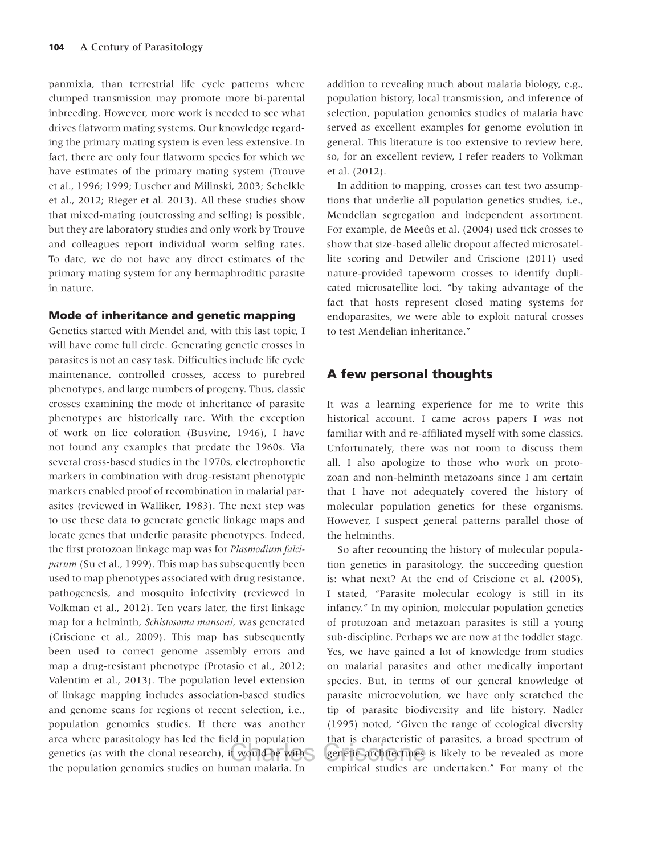panmixia, than terrestrial life cycle patterns where clumped transmission may promote more bi-parental inbreeding. However, more work is needed to see what drives flatworm mating systems. Our knowledge regarding the primary mating system is even less extensive. In fact, there are only four flatworm species for which we have estimates of the primary mating system (Trouve et al., 1996; 1999; Luscher and Milinski, 2003; Schelkle et al., 2012; Rieger et al. 2013). All these studies show that mixed-mating (outcrossing and selfing) is possible, but they are laboratory studies and only work by Trouve and colleagues report individual worm selfing rates. To date, we do not have any direct estimates of the primary mating system for any hermaphroditic parasite in nature.

#### **Mode of inheritance and genetic mapping**

Genetics started with Mendel and, with this last topic, I will have come full circle. Generating genetic crosses in parasites is not an easy task. Difficulties include life cycle maintenance, controlled crosses, access to purebred phenotypes, and large numbers of progeny. Thus, classic crosses examining the mode of inheritance of parasite phenotypes are historically rare. With the exception of work on lice coloration (Busvine, 1946), I have not found any examples that predate the 1960s. Via several cross-based studies in the 1970s, electrophoretic markers in combination with drug-resistant phenotypic markers enabled proof of recombination in malarial parasites (reviewed in Walliker, 1983). The next step was to use these data to generate genetic linkage maps and locate genes that underlie parasite phenotypes. Indeed, the first protozoan linkage map was for *Plasmodium falciparum* (Su et al., 1999). This map has subsequently been used to map phenotypes associated with drug resistance, pathogenesis, and mosquito infectivity (reviewed in Volkman et al., 2012). Ten years later, the first linkage map for a helminth, *Schistosoma mansoni*, was generated (Criscione et al., 2009). This map has subsequently been used to correct genome assembly errors and map a drug-resistant phenotype (Protasio et al., 2012; Valentim et al., 2013). The population level extension of linkage mapping includes association-based studies and genome scans for regions of recent selection, i.e., population genomics studies. If there was another area where parasitology has led the field in population genetics (as with the clonal research), it would be with the population genomics studies on human malaria. In

addition to revealing much about malaria biology, e.g., population history, local transmission, and inference of selection, population genomics studies of malaria have served as excellent examples for genome evolution in general. This literature is too extensive to review here, so, for an excellent review, I refer readers to Volkman et al. (2012).

In addition to mapping, crosses can test two assumptions that underlie all population genetics studies, i.e., Mendelian segregation and independent assortment. For example, de Meeûs et al. (2004) used tick crosses to show that size-based allelic dropout affected microsatellite scoring and Detwiler and Criscione (2011) used nature-provided tapeworm crosses to identify duplicated microsatellite loci, "by taking advantage of the fact that hosts represent closed mating systems for endoparasites, we were able to exploit natural crosses to test Mendelian inheritance."

## **A few personal thoughts**

It was a learning experience for me to write this historical account. I came across papers I was not familiar with and re-affiliated myself with some classics. Unfortunately, there was not room to discuss them all. I also apologize to those who work on protozoan and non-helminth metazoans since I am certain that I have not adequately covered the history of molecular population genetics for these organisms. However, I suspect general patterns parallel those of the helminths.

So after recounting the history of molecular population genetics in parasitology, the succeeding question is: what next? At the end of Criscione et al. (2005), I stated, "Parasite molecular ecology is still in its infancy." In my opinion, molecular population genetics of protozoan and metazoan parasites is still a young sub-discipline. Perhaps we are now at the toddler stage. Yes, we have gained a lot of knowledge from studies on malarial parasites and other medically important species. But, in terms of our general knowledge of parasite microevolution, we have only scratched the tip of parasite biodiversity and life history. Nadler (1995) noted, "Given the range of ecological diversity that is characteristic of parasites, a broad spectrum of t would be with Sepertic architectures is likely to be revealed as more empirical studies are undertaken." For many of the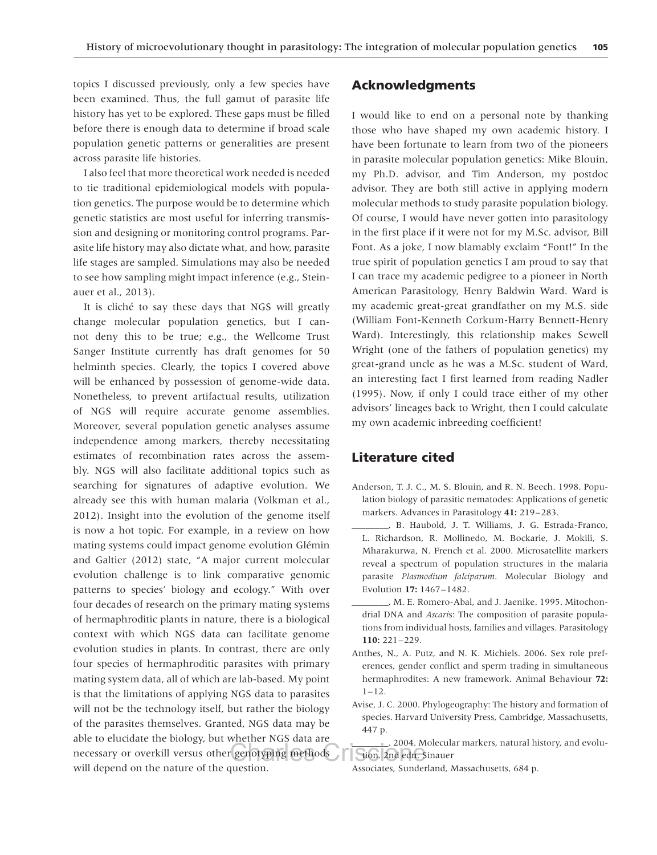topics I discussed previously, only a few species have been examined. Thus, the full gamut of parasite life history has yet to be explored. These gaps must be filled before there is enough data to determine if broad scale population genetic patterns or generalities are present across parasite life histories.

I also feel that more theoretical work needed is needed to tie traditional epidemiological models with population genetics. The purpose would be to determine which genetic statistics are most useful for inferring transmission and designing or monitoring control programs. Parasite life history may also dictate what, and how, parasite life stages are sampled. Simulations may also be needed to see how sampling might impact inference (e.g., Steinauer et al., 2013).

It is cliché to say these days that NGS will greatly change molecular population genetics, but I cannot deny this to be true; e.g., the Wellcome Trust Sanger Institute currently has draft genomes for 50 helminth species. Clearly, the topics I covered above will be enhanced by possession of genome-wide data. Nonetheless, to prevent artifactual results, utilization of NGS will require accurate genome assemblies. Moreover, several population genetic analyses assume independence among markers, thereby necessitating estimates of recombination rates across the assembly. NGS will also facilitate additional topics such as searching for signatures of adaptive evolution. We already see this with human malaria (Volkman et al., 2012). Insight into the evolution of the genome itself is now a hot topic. For example, in a review on how mating systems could impact genome evolution Glémin and Galtier (2012) state, "A major current molecular evolution challenge is to link comparative genomic patterns to species' biology and ecology." With over four decades of research on the primary mating systems of hermaphroditic plants in nature, there is a biological context with which NGS data can facilitate genome evolution studies in plants. In contrast, there are only four species of hermaphroditic parasites with primary mating system data, all of which are lab-based. My point is that the limitations of applying NGS data to parasites will not be the technology itself, but rather the biology of the parasites themselves. Granted, NGS data may be able to elucidate the biology, but whether NGS data are necessary or overkill versus other genotyping methods [Carl 2004. 2004. M will depend on the nature of the question.

## **Acknowledgments**

I would like to end on a personal note by thanking those who have shaped my own academic history. I have been fortunate to learn from two of the pioneers in parasite molecular population genetics: Mike Blouin, my Ph.D. advisor, and Tim Anderson, my postdoc advisor. They are both still active in applying modern molecular methods to study parasite population biology. Of course, I would have never gotten into parasitology in the first place if it were not for my M.Sc. advisor, Bill Font. As a joke, I now blamably exclaim "Font!" In the true spirit of population genetics I am proud to say that I can trace my academic pedigree to a pioneer in North American Parasitology, Henry Baldwin Ward. Ward is my academic great-great grandfather on my M.S. side (William Font-Kenneth Corkum-Harry Bennett-Henry Ward). Interestingly, this relationship makes Sewell Wright (one of the fathers of population genetics) my great-grand uncle as he was a M.Sc. student of Ward, an interesting fact I first learned from reading Nadler (1995). Now, if only I could trace either of my other advisors' lineages back to Wright, then I could calculate my own academic inbreeding coefficient!

## **Literature cited**

- Anderson, T. J. C., M. S. Blouin, and R. N. Beech. 1998. Population biology of parasitic nematodes: Applications of genetic markers. Advances in Parasitology **41:** 219–283.
- \_\_\_\_\_\_\_\_, B. Haubold, J. T. Williams, J. G. Estrada-Franco, L. Richardson, R. Mollinedo, M. Bockarie, J. Mokili, S. Mharakurwa, N. French et al. 2000. Microsatellite markers reveal a spectrum of population structures in the malaria parasite *Plasmodium falciparum*. Molecular Biology and Evolution **17:** 1467–1482.
- \_\_\_\_\_\_\_\_, M. E. Romero-Abal, and J. Jaenike. 1995. Mitochondrial DNA and *Ascari*s: The composition of parasite populations from individual hosts, families and villages. Parasitology **110:** 221–229.
- Anthes, N., A. Putz, and N. K. Michiels. 2006. Sex role preferences, gender conflict and sperm trading in simultaneous hermaphrodites: A new framework. Animal Behaviour **72:** 1–12.
- Avise, J. C. 2000. Phylogeography: The history and formation of species. Harvard University Press, Cambridge, Massachusetts, 447 p.
- \_\_\_\_\_\_\_\_. 2004. Molecular markers, natural history, and evolution. 2nd edn. Sinauer

Associates, Sunderland, Massachusetts, 684 p.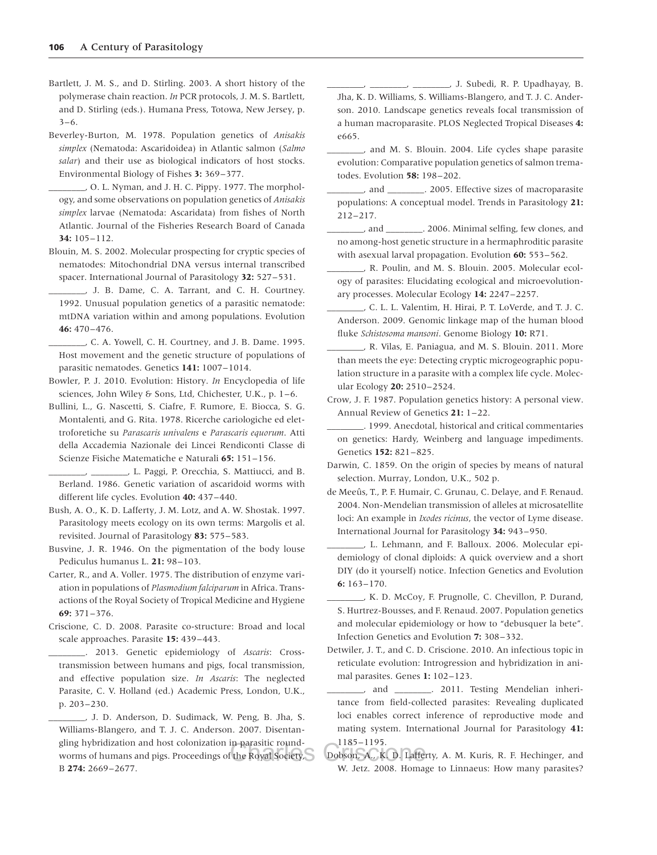- Bartlett, J. M. S., and D. Stirling. 2003. A short history of the polymerase chain reaction. *In* PCR protocols, J. M. S. Bartlett, and D. Stirling (eds.). Humana Press, Totowa, New Jersey, p.  $3-6.$
- Beverley-Burton, M. 1978. Population genetics of *Anisakis simplex* (Nematoda: Ascaridoidea) in Atlantic salmon (*Salmo salar*) and their use as biological indicators of host stocks. Environmental Biology of Fishes **3:** 369–377.
- \_\_\_\_\_\_\_\_, O. L. Nyman, and J. H. C. Pippy. 1977. The morphology, and some observations on population genetics of *Anisakis simplex* larvae (Nematoda: Ascaridata) from fishes of North Atlantic. Journal of the Fisheries Research Board of Canada **34:** 105–112.
- Blouin, M. S. 2002. Molecular prospecting for cryptic species of nematodes: Mitochondrial DNA versus internal transcribed spacer. International Journal of Parasitology **32:** 527–531.
- \_\_\_\_\_\_\_\_, J. B. Dame, C. A. Tarrant, and C. H. Courtney. 1992. Unusual population genetics of a parasitic nematode: mtDNA variation within and among populations. Evolution **46:** 470–476.
- \_\_\_\_\_\_\_\_, C. A. Yowell, C. H. Courtney, and J. B. Dame. 1995. Host movement and the genetic structure of populations of parasitic nematodes. Genetics **141:** 1007–1014.
- Bowler, P. J. 2010. Evolution: History. *In* Encyclopedia of life sciences, John Wiley & Sons, Ltd, Chichester, U.K., p. 1–6.
- Bullini, L., G. Nascetti, S. Ciafre, F. Rumore, E. Biocca, S. G. Montalenti, and G. Rita. 1978. Ricerche cariologiche ed elettroforetiche su *Parascaris univalens* e *Parascaris equorum*. Atti della Accademia Nazionale dei Lincei Rendiconti Classe di Scienze Fisiche Matematiche e Naturali **65:** 151–156.

\_\_\_\_\_\_\_\_, \_\_\_\_\_\_\_\_, L. Paggi, P. Orecchia, S. Mattiucci, and B. Berland. 1986. Genetic variation of ascaridoid worms with different life cycles. Evolution **40:** 437–440.

- Bush, A. O., K. D. Lafferty, J. M. Lotz, and A. W. Shostak. 1997. Parasitology meets ecology on its own terms: Margolis et al. revisited. Journal of Parasitology **83:** 575–583.
- Busvine, J. R. 1946. On the pigmentation of the body louse Pediculus humanus L. **21:** 98–103.
- Carter, R., and A. Voller. 1975. The distribution of enzyme variation in populations of *Plasmodium falciparum* in Africa. Transactions of the Royal Society of Tropical Medicine and Hygiene **69:** 371–376.
- Criscione, C. D. 2008. Parasite co-structure: Broad and local scale approaches. Parasite **15:** 439–443.

\_\_\_\_\_\_\_\_. 2013. Genetic epidemiology of *Ascaris*: Crosstransmission between humans and pigs, focal transmission, and effective population size. *In Ascaris*: The neglected Parasite, C. V. Holland (ed.) Academic Press, London, U.K., p. 203–230.

\_\_\_\_\_\_\_\_, J. D. Anderson, D. Sudimack, W. Peng, B. Jha, S. Williams-Blangero, and T. J. C. Anderson. 2007. Disentangling hybridization and host colonization in parasitic roundworms of humans and pigs. Proceedings of the Royal Society, B **274:** 2669–2677.

 $\rightarrow$  \_\_\_\_\_\_\_, J. Subedi, R. P. Upadhayay, B. Jha, K. D. Williams, S. Williams-Blangero, and T. J. C. Anderson. 2010. Landscape genetics reveals focal transmission of a human macroparasite. PLOS Neglected Tropical Diseases **4:** e665.

- \_\_\_\_\_\_\_\_, and M. S. Blouin. 2004. Life cycles shape parasite evolution: Comparative population genetics of salmon trematodes. Evolution **58:** 198–202.
- \_\_\_\_\_\_\_\_, and \_\_\_\_\_\_\_\_. 2005. Effective sizes of macroparasite populations: A conceptual model. Trends in Parasitology **21:** 212–217.
- \_\_\_\_\_\_\_\_, and \_\_\_\_\_\_\_\_. 2006. Minimal selfing, few clones, and no among-host genetic structure in a hermaphroditic parasite with asexual larval propagation. Evolution **60:** 553–562.
- \_\_\_\_\_\_\_\_, R. Poulin, and M. S. Blouin. 2005. Molecular ecology of parasites: Elucidating ecological and microevolutionary processes. Molecular Ecology **14:** 2247–2257.
- \_\_\_\_\_\_\_\_, C. L. L. Valentim, H. Hirai, P. T. LoVerde, and T. J. C. Anderson. 2009. Genomic linkage map of the human blood fluke *Schistosoma mansoni*. Genome Biology **10:** R71.
- \_\_\_\_\_\_\_\_, R. Vilas, E. Paniagua, and M. S. Blouin. 2011. More than meets the eye: Detecting cryptic microgeographic population structure in a parasite with a complex life cycle. Molecular Ecology **20:** 2510–2524.
- Crow, J. F. 1987. Population genetics history: A personal view. Annual Review of Genetics **21:** 1–22.
- \_\_\_\_\_\_\_\_. 1999. Anecdotal, historical and critical commentaries on genetics: Hardy, Weinberg and language impediments. Genetics **152:** 821–825.
- Darwin, C. 1859. On the origin of species by means of natural selection. Murray, London, U.K., 502 p.
- de Meeûs, T., P. F. Humair, C. Grunau, C. Delaye, and F. Renaud. 2004. Non-Mendelian transmission of alleles at microsatellite loci: An example in *Ixodes ricinus*, the vector of Lyme disease. International Journal for Parasitology **34:** 943–950.
	- \_\_\_\_\_\_\_\_, L. Lehmann, and F. Balloux. 2006. Molecular epidemiology of clonal diploids: A quick overview and a short DIY (do it yourself) notice. Infection Genetics and Evolution **6:** 163–170.
- \_\_\_\_\_\_\_\_, K. D. McCoy, F. Prugnolle, C. Chevillon, P. Durand, S. Hurtrez-Bousses, and F. Renaud. 2007. Population genetics and molecular epidemiology or how to "debusquer la bete". Infection Genetics and Evolution **7:** 308–332.
- Detwiler, J. T., and C. D. Criscione. 2010. An infectious topic in reticulate evolution: Introgression and hybridization in animal parasites. Genes **1:** 102–123.
- \_\_\_\_\_\_\_\_, and \_\_\_\_\_\_\_\_. 2011. Testing Mendelian inheritance from field-collected parasites: Revealing duplicated loci enables correct inference of reproductive mode and mating system. International Journal for Parasitology **41:** 1185–1195.
- $\begin{array}{ll}\n\text{In parallel to the Royal Society.} \\
\text{The Royal Society.} \quad \text{Dobsson, A., K.D. \text{ \textbf{Lafferty, A. M. Kuris, R. F. Hechinger, and} \\
\text{The Royal Society.} \quad \text{Dobson, A., K.D. \textbf{Lafferty, A. M. Kuris, R. F. Hechinger, and}\n\end{array}$ W. Jetz. 2008. Homage to Linnaeus: How many parasites?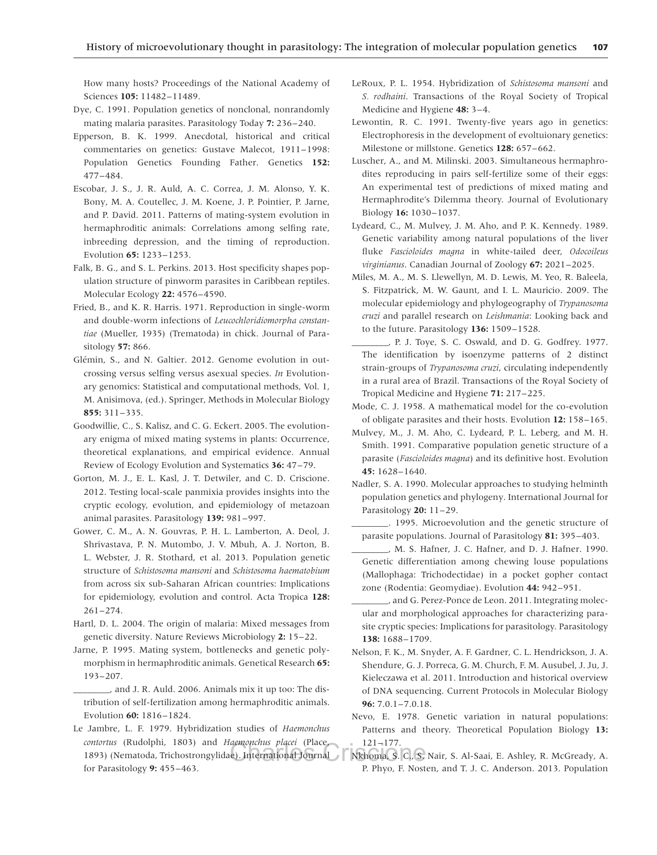How many hosts? Proceedings of the National Academy of Sciences **105:** 11482–11489.

- Dye, C. 1991. Population genetics of nonclonal, nonrandomly mating malaria parasites. Parasitology Today **7:** 236–240.
- Epperson, B. K. 1999. Anecdotal, historical and critical commentaries on genetics: Gustave Malecot, 1911–1998: Population Genetics Founding Father. Genetics **152:** 477–484.
- Escobar, J. S., J. R. Auld, A. C. Correa, J. M. Alonso, Y. K. Bony, M. A. Coutellec, J. M. Koene, J. P. Pointier, P. Jarne, and P. David. 2011. Patterns of mating-system evolution in hermaphroditic animals: Correlations among selfing rate, inbreeding depression, and the timing of reproduction. Evolution **65:** 1233–1253.
- Falk, B. G., and S. L. Perkins. 2013. Host specificity shapes population structure of pinworm parasites in Caribbean reptiles. Molecular Ecology **22:** 4576–4590.
- Fried, B., and K. R. Harris. 1971. Reproduction in single-worm and double-worm infections of *Leucochloridiomorpha constantiae* (Mueller, 1935) (Trematoda) in chick. Journal of Parasitology **57:** 866.
- Glémin, S., and N. Galtier. 2012. Genome evolution in outcrossing versus selfing versus asexual species. *In* Evolutionary genomics: Statistical and computational methods, Vol. 1, M. Anisimova, (ed.). Springer, Methods in Molecular Biology **855:** 311–335.
- Goodwillie, C., S. Kalisz, and C. G. Eckert. 2005. The evolutionary enigma of mixed mating systems in plants: Occurrence, theoretical explanations, and empirical evidence. Annual Review of Ecology Evolution and Systematics **36:** 47–79.
- Gorton, M. J., E. L. Kasl, J. T. Detwiler, and C. D. Criscione. 2012. Testing local-scale panmixia provides insights into the cryptic ecology, evolution, and epidemiology of metazoan animal parasites. Parasitology **139:** 981–997.
- Gower, C. M., A. N. Gouvras, P. H. L. Lamberton, A. Deol, J. Shrivastava, P. N. Mutombo, J. V. Mbuh, A. J. Norton, B. L. Webster, J. R. Stothard, et al. 2013. Population genetic structure of *Schistosoma mansoni* and *Schistosoma haematobium* from across six sub-Saharan African countries: Implications for epidemiology, evolution and control. Acta Tropica **128:** 261–274.
- Hartl, D. L. 2004. The origin of malaria: Mixed messages from genetic diversity. Nature Reviews Microbiology **2:** 15–22.
- Jarne, P. 1995. Mating system, bottlenecks and genetic polymorphism in hermaphroditic animals. Genetical Research **65:** 193–207.

\_\_\_\_\_\_\_\_, and J. R. Auld. 2006. Animals mix it up too: The distribution of self-fertilization among hermaphroditic animals. Evolution **60:** 1816–1824.

Le Jambre, L. F. 1979. Hybridization studies of *Haemonchus contortus* (Rudolphi, 1803) and *Haemonchus placei* (Place, 1893) (Nematoda, Trichostrongylidae). International Journal (Nkhoma, S. C., S. for Parasitology **9:** 455–463.

- LeRoux, P. L. 1954. Hybridization of *Schistosoma mansoni* and *S. rodhaini*. Transactions of the Royal Society of Tropical Medicine and Hygiene **48:** 3–4.
- Lewontin, R. C. 1991. Twenty-five years ago in genetics: Electrophoresis in the development of evoltuionary genetics: Milestone or millstone. Genetics **128:** 657–662.
- Luscher, A., and M. Milinski. 2003. Simultaneous hermaphrodites reproducing in pairs self-fertilize some of their eggs: An experimental test of predictions of mixed mating and Hermaphrodite's Dilemma theory. Journal of Evolutionary Biology **16:** 1030–1037.
- Lydeard, C., M. Mulvey, J. M. Aho, and P. K. Kennedy. 1989. Genetic variability among natural populations of the liver fluke *Fascioloides magna* in white-tailed deer, *Odocoileus virginianus*. Canadian Journal of Zoology **67:** 2021–2025.
- Miles, M. A., M. S. Llewellyn, M. D. Lewis, M. Yeo, R. Baleela, S. Fitzpatrick, M. W. Gaunt, and I. L. Mauricio. 2009. The molecular epidemiology and phylogeography of *Trypanosoma cruzi* and parallel research on *Leishmania*: Looking back and to the future. Parasitology **136:** 1509–1528.
- \_\_\_\_\_\_\_\_, P. J. Toye, S. C. Oswald, and D. G. Godfrey. 1977. The identification by isoenzyme patterns of 2 distinct strain-groups of *Trypanosoma cruzi*, circulating independently in a rural area of Brazil. Transactions of the Royal Society of Tropical Medicine and Hygiene **71:** 217–225.
- Mode, C. J. 1958. A mathematical model for the co-evolution of obligate parasites and their hosts. Evolution **12:** 158–165.
- Mulvey, M., J. M. Aho, C. Lydeard, P. L. Leberg, and M. H. Smith. 1991. Comparative population genetic structure of a parasite (*Fascioloides magna*) and its definitive host. Evolution **45:** 1628–1640.
- Nadler, S. A. 1990. Molecular approaches to studying helminth population genetics and phylogeny. International Journal for Parasitology **20:** 11–29.
- \_\_\_\_\_\_\_\_. 1995. Microevolution and the genetic structure of parasite populations. Journal of Parasitology **81:** 395–403.
- \_\_\_\_\_\_\_\_, M. S. Hafner, J. C. Hafner, and D. J. Hafner. 1990. Genetic differentiation among chewing louse populations (Mallophaga: Trichodectidae) in a pocket gopher contact zone (Rodentia: Geomydiae). Evolution **44:** 942–951.
- , and G. Perez-Ponce de Leon. 2011. Integrating molecular and morphological approaches for characterizing parasite cryptic species: Implications for parasitology. Parasitology **138:** 1688–1709.
- Nelson, F. K., M. Snyder, A. F. Gardner, C. L. Hendrickson, J. A. Shendure, G. J. Porreca, G. M. Church, F. M. Ausubel, J. Ju, J. Kieleczawa et al. 2011. Introduction and historical overview of DNA sequencing. Current Protocols in Molecular Biology **96:** 7.0.1–7.0.18.
- Nevo, E. 1978. Genetic variation in natural populations: Patterns and theory. Theoretical Population Biology **13:** 121–177.
- Nkhoma, S. C., S. Nair, S. Al-Saai, E. Ashley, R. McGready, A. P. Phyo, F. Nosten, and T. J. C. Anderson. 2013. Population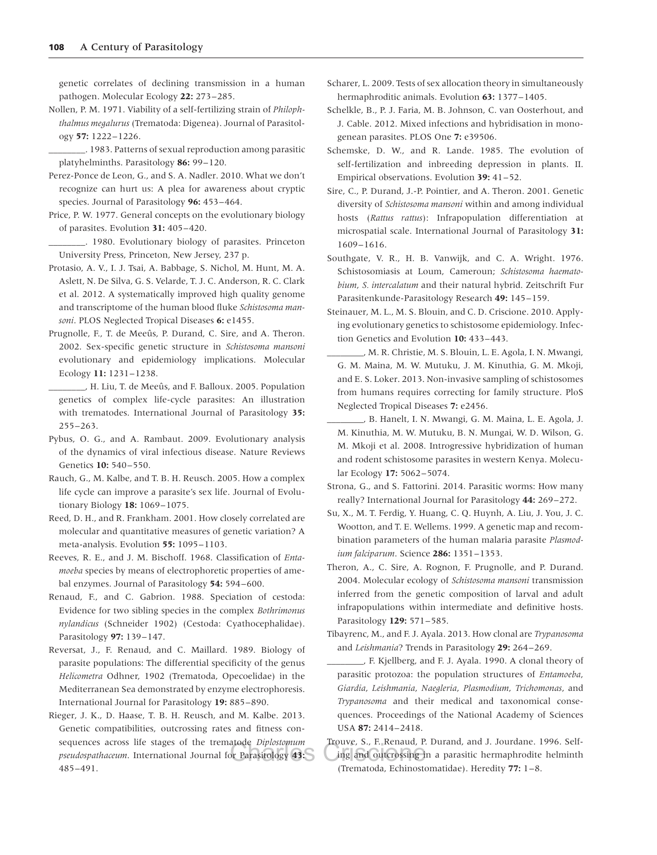genetic correlates of declining transmission in a human pathogen. Molecular Ecology **22:** 273–285.

- Nollen, P. M. 1971. Viability of a self-fertilizing strain of *Philophthalmus megalurus* (Trematoda: Digenea). Journal of Parasitology **57:** 1222–1226.
- \_\_\_\_\_\_\_\_. 1983. Patterns of sexual reproduction among parasitic platyhelminths. Parasitology **86:** 99–120.
- Perez-Ponce de Leon, G., and S. A. Nadler. 2010. What we don't recognize can hurt us: A plea for awareness about cryptic species. Journal of Parasitology **96:** 453–464.
- Price, P. W. 1977. General concepts on the evolutionary biology of parasites. Evolution **31:** 405–420.

\_\_\_\_\_\_\_\_. 1980. Evolutionary biology of parasites. Princeton University Press, Princeton, New Jersey, 237 p.

- Protasio, A. V., I. J. Tsai, A. Babbage, S. Nichol, M. Hunt, M. A. Aslett, N. De Silva, G. S. Velarde, T. J. C. Anderson, R. C. Clark et al. 2012. A systematically improved high quality genome and transcriptome of the human blood fluke *Schistosoma mansoni*. PLOS Neglected Tropical Diseases **6:** e1455.
- Prugnolle, F., T. de Meeûs, P. Durand, C. Sire, and A. Theron. 2002. Sex-specific genetic structure in *Schistosoma mansoni* evolutionary and epidemiology implications. Molecular Ecology **11:** 1231–1238.

\_\_\_\_\_\_\_\_, H. Liu, T. de Meeûs, and F. Balloux. 2005. Population genetics of complex life-cycle parasites: An illustration with trematodes. International Journal of Parasitology **35:** 255–263.

- Pybus, O. G., and A. Rambaut. 2009. Evolutionary analysis of the dynamics of viral infectious disease. Nature Reviews Genetics **10:** 540–550.
- Rauch, G., M. Kalbe, and T. B. H. Reusch. 2005. How a complex life cycle can improve a parasite's sex life. Journal of Evolutionary Biology **18:** 1069–1075.
- Reed, D. H., and R. Frankham. 2001. How closely correlated are molecular and quantitative measures of genetic variation? A meta-analysis. Evolution **55:** 1095–1103.
- Reeves, R. E., and J. M. Bischoff. 1968. Classification of *Entamoeba* species by means of electrophoretic properties of amebal enzymes. Journal of Parasitology **54:** 594–600.
- Renaud, F., and C. Gabrion. 1988. Speciation of cestoda: Evidence for two sibling species in the complex *Bothrimonus nylandicus* (Schneider 1902) (Cestoda: Cyathocephalidae). Parasitology **97:** 139–147.
- Reversat, J., F. Renaud, and C. Maillard. 1989. Biology of parasite populations: The differential specificity of the genus *Helicometra* Odhner, 1902 (Trematoda, Opecoelidae) in the Mediterranean Sea demonstrated by enzyme electrophoresis. International Journal for Parasitology **19:** 885–890.
- Rieger, J. K., D. Haase, T. B. H. Reusch, and M. Kalbe. 2013. Genetic compatibilities, outcrossing rates and fitness consequences across life stages of the trematode *Diplostomum pseudospathaceum*. International Journal for Parasitology **43:** 485–491.
- Scharer, L. 2009. Tests of sex allocation theory in simultaneously hermaphroditic animals. Evolution **63:** 1377–1405.
- Schelkle, B., P. J. Faria, M. B. Johnson, C. van Oosterhout, and J. Cable. 2012. Mixed infections and hybridisation in monogenean parasites. PLOS One **7:** e39506.
- Schemske, D. W., and R. Lande. 1985. The evolution of self-fertilization and inbreeding depression in plants. II. Empirical observations. Evolution **39:** 41–52.
- Sire, C., P. Durand, J.-P. Pointier, and A. Theron. 2001. Genetic diversity of *Schistosoma mansoni* within and among individual hosts (*Rattus rattus*): Infrapopulation differentiation at microspatial scale. International Journal of Parasitology **31:** 1609–1616.
- Southgate, V. R., H. B. Vanwijk, and C. A. Wright. 1976. Schistosomiasis at Loum, Cameroun; *Schistosoma haematobium*, *S. intercalatum* and their natural hybrid. Zeitschrift Fur Parasitenkunde-Parasitology Research **49:** 145–159.
- Steinauer, M. L., M. S. Blouin, and C. D. Criscione. 2010. Applying evolutionary genetics to schistosome epidemiology. Infection Genetics and Evolution **10:** 433–443.
- \_\_\_\_\_\_\_\_, M. R. Christie, M. S. Blouin, L. E. Agola, I. N. Mwangi, G. M. Maina, M. W. Mutuku, J. M. Kinuthia, G. M. Mkoji, and E. S. Loker. 2013. Non-invasive sampling of schistosomes from humans requires correcting for family structure. PloS Neglected Tropical Diseases **7:** e2456.
- , B. Hanelt, I. N. Mwangi, G. M. Maina, L. E. Agola, J. M. Kinuthia, M. W. Mutuku, B. N. Mungai, W. D. Wilson, G. M. Mkoji et al. 2008. Introgressive hybridization of human and rodent schistosome parasites in western Kenya. Molecular Ecology **17:** 5062–5074.
- Strona, G., and S. Fattorini. 2014. Parasitic worms: How many really? International Journal for Parasitology **44:** 269–272.
- Su, X., M. T. Ferdig, Y. Huang, C. Q. Huynh, A. Liu, J. You, J. C. Wootton, and T. E. Wellems. 1999. A genetic map and recombination parameters of the human malaria parasite *Plasmodium falciparum*. Science **286:** 1351–1353.
- Theron, A., C. Sire, A. Rognon, F. Prugnolle, and P. Durand. 2004. Molecular ecology of *Schistosoma mansoni* transmission inferred from the genetic composition of larval and adult infrapopulations within intermediate and definitive hosts. Parasitology **129:** 571–585.
- Tibayrenc, M., and F. J. Ayala. 2013. How clonal are *Trypanosoma* and *Leishmania*? Trends in Parasitology **29:** 264–269.
- \_\_\_\_\_\_\_\_, F. Kjellberg, and F. J. Ayala. 1990. A clonal theory of parasitic protozoa: the population structures of *Entamoeba*, *Giardia*, *Leishmania*, *Naegleria*, *Plasmodium*, *Trichomonas*, and *Trypanosoma* and their medical and taxonomical consequences. Proceedings of the National Academy of Sciences USA **87:** 2414–2418.
- Trouve, S., F. Renaud, P. Durand, and J. Jourdane. 1996. Selfing and outcrossing in a parasitic hermaphrodite helminth<br>outcomes contrasting in a parasitic hermaphrodite helminth (Trematoda, Echinostomatidae). Heredity **77:** 1–8.